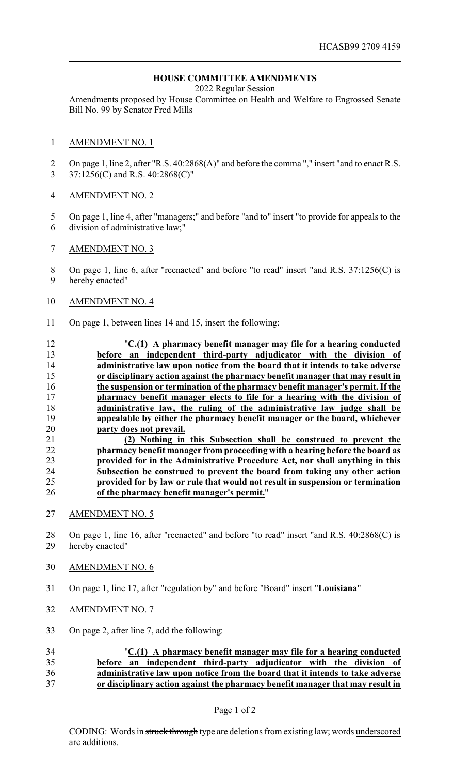## **HOUSE COMMITTEE AMENDMENTS**

2022 Regular Session

Amendments proposed by House Committee on Health and Welfare to Engrossed Senate Bill No. 99 by Senator Fred Mills

#### AMENDMENT NO. 1

 On page 1, line 2, after "R.S. 40:2868(A)" and before the comma "," insert "and to enact R.S. 37:1256(C) and R.S. 40:2868(C)"

#### AMENDMENT NO. 2

- On page 1, line 4, after "managers;" and before "and to" insert "to provide for appeals to the division of administrative law;"
- AMENDMENT NO. 3

8 On page 1, line 6, after "reenacted" and before "to read" insert "and R.S. 37:1256(C) is hereby enacted"

#### AMENDMENT NO. 4

- On page 1, between lines 14 and 15, insert the following:
- "**C.(1) A pharmacy benefit manager may file for a hearing conducted before an independent third-party adjudicator with the division of administrative law upon notice from the board that it intends to take adverse or disciplinary action against the pharmacy benefit manager that may result in the suspension or termination of the pharmacy benefit manager's permit. If the pharmacy benefit manager elects to file for a hearing with the division of administrative law, the ruling of the administrative law judge shall be appealable by either the pharmacy benefit manager or the board, whichever party does not prevail. (2) Nothing in this Subsection shall be construed to prevent the pharmacy benefit manager from proceeding with a hearing before the board as**

# **provided for in the Administrative Procedure Act, nor shall anything in this Subsection be construed to prevent the board from taking any other action provided for by law or rule that would not result in suspension or termination of the pharmacy benefit manager's permit.**"

- AMENDMENT NO. 5
- On page 1, line 16, after "reenacted" and before "to read" insert "and R.S. 40:2868(C) is hereby enacted"
- AMENDMENT NO. 6
- On page 1, line 17, after "regulation by" and before "Board" insert "**Louisiana**"
- AMENDMENT NO. 7
- On page 2, after line 7, add the following:

### "**C.(1) A pharmacy benefit manager may file for a hearing conducted before an independent third-party adjudicator with the division of administrative law upon notice from the board that it intends to take adverse or disciplinary action against the pharmacy benefit manager that may result in**

Page 1 of 2